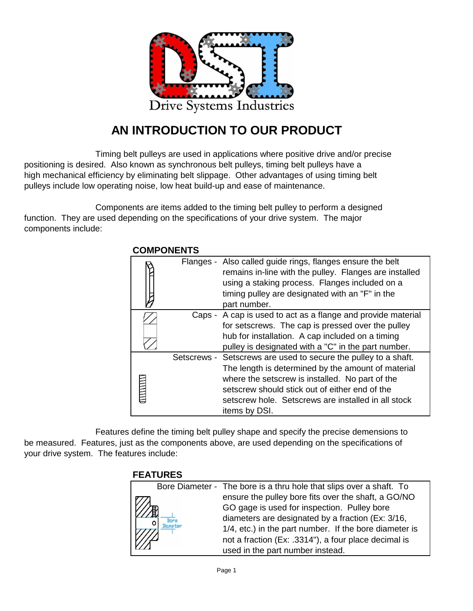

## **AN INTRODUCTION TO OUR PRODUCT**

Timing belt pulleys are used in applications where positive drive and/or precise positioning is desired. Also known as synchronous belt pulleys, timing belt pulleys have a high mechanical efficiency by eliminating belt slippage. Other advantages of using timing belt pulleys include low operating noise, low heat build-up and ease of maintenance.

Components are items added to the timing belt pulley to perform a designed function. They are used depending on the specifications of your drive system. The major components include:

|  |  | Flanges - Also called guide rings, flanges ensure the belt<br>remains in-line with the pulley. Flanges are installed<br>using a staking process. Flanges included on a<br>timing pulley are designated with an "F" in the<br>part number.                                                          |  |  |
|--|--|----------------------------------------------------------------------------------------------------------------------------------------------------------------------------------------------------------------------------------------------------------------------------------------------------|--|--|
|  |  | Caps - A cap is used to act as a flange and provide material<br>for setscrews. The cap is pressed over the pulley<br>hub for installation. A cap included on a timing<br>pulley is designated with a "C" in the part number.                                                                       |  |  |
|  |  | Setscrews - Setscrews are used to secure the pulley to a shaft.<br>The length is determined by the amount of material<br>where the setscrew is installed. No part of the<br>setscrew should stick out of either end of the<br>setscrew hole. Setscrews are installed in all stock<br>items by DSI. |  |  |

#### **COMPONENTS**

Features define the timing belt pulley shape and specify the precise demensions to be measured. Features, just as the components above, are used depending on the specifications of your drive system. The features include:

### **FEATURES**

| Bore Diameter - The bore is a thru hole that slips over a shaft. To |
|---------------------------------------------------------------------|
| ensure the pulley bore fits over the shaft, a GO/NO                 |
| GO gage is used for inspection. Pulley bore                         |
| diameters are designated by a fraction (Ex: 3/16,                   |
| 1/4, etc.) in the part number. If the bore diameter is              |
| not a fraction (Ex: .3314"), a four place decimal is                |
| used in the part number instead.                                    |